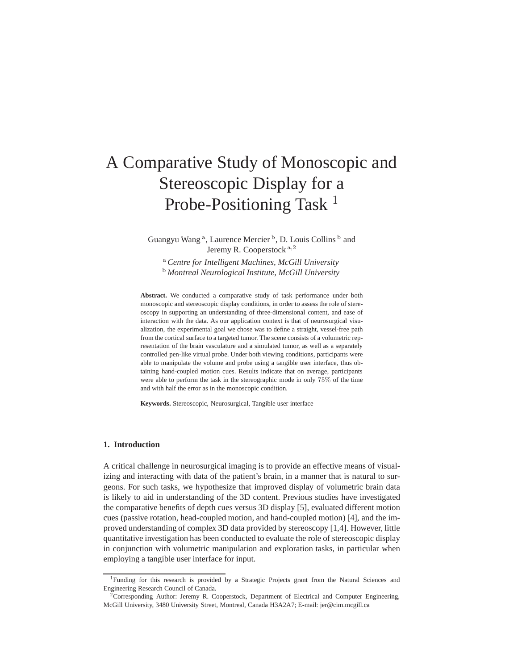# A Comparative Study of Monoscopic and Stereoscopic Display for a Probe-Positioning Task  $<sup>1</sup>$ </sup>

Guangyu Wang<sup>a</sup>, Laurence Mercier<sup>b</sup>, D. Louis Collins<sup>b</sup> and Jeremy R. Cooperstock <sup>a</sup>,<sup>2</sup>

<sup>a</sup> *Centre for Intelligent Machines, McGill University* <sup>b</sup> *Montreal Neurological Institute, McGill University*

Abstract. We conducted a comparative study of task performance under both monoscopic and stereoscopic display conditions, in order to assess the role of stereoscopy in supporting an understanding of three-dimensional content, and ease of interaction with the data. As our application context is that of neurosurgical visualization, the experimental goal we chose was to define a straight, vessel-free path from the cortical surface to a targeted tumor. The scene consists of a volumetric representation of the brain vasculature and a simulated tumor, as well as a separately controlled pen-like virtual probe. Under both viewing conditions, participants were able to manipulate the volume and probe using a tangible user interface, thus obtaining hand-coupled motion cues. Results indicate that on average, participants were able to perform the task in the stereographic mode in only 75% of the time and with half the error as in the monoscopic condition.

**Keywords.** Stereoscopic, Neurosurgical, Tangible user interface

# **1. Introduction**

A critical challenge in neurosurgical imaging is to provide an effective means of visualizing and interacting with data of the patient's brain, in a manner that is natural to surgeons. For such tasks, we hypothesize that improved display of volumetric brain data is likely to aid in understanding of the 3D content. Previous studies have investigated the comparative benefits of depth cues versus 3D display [5], evaluated different motion cues (passive rotation, head-coupled motion, and hand-coupled motion) [4], and the improved understanding of complex 3D data provided by stereoscopy [1,4]. However, little quantitative investigation has been conducted to evaluate the role of stereoscopic display in conjunction with volumetric manipulation and exploration tasks, in particular when employing a tangible user interface for input.

<sup>&</sup>lt;sup>1</sup>Funding for this research is provided by a Strategic Projects grant from the Natural Sciences and Engineering Research Council of Canada.

<sup>&</sup>lt;sup>2</sup>Corresponding Author: Jeremy R. Cooperstock, Department of Electrical and Computer Engineering, McGill University, 3480 University Street, Montreal, Canada H3A2A7; E-mail: jer@cim.mcgill.ca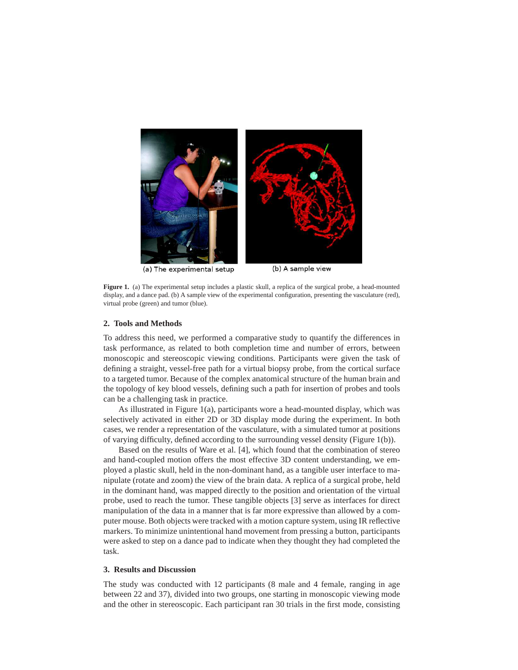

(a) The experimental setup

(b) A sample view

**Figure 1.** (a) The experimental setup includes a plastic skull, a replica of the surgical probe, a head-mounted display, and a dance pad. (b) A sample view of the experimental configuration, presenting the vasculature (red), virtual probe (green) and tumor (blue).

#### **2. Tools and Methods**

To address this need, we performed a comparative study to quantify the differences in task performance, as related to both completion time and number of errors, between monoscopic and stereoscopic viewing conditions. Participants were given the task of defining a straight, vessel-free path for a virtual biopsy probe, from the cortical surface to a targeted tumor. Because of the complex anatomical structure of the human brain and the topology of key blood vessels, defining such a path for insertion of probes and tools can be a challenging task in practice.

As illustrated in Figure 1(a), participants wore a head-mounted display, which was selectively activated in either 2D or 3D display mode during the experiment. In both cases, we render a representation of the vasculature, with a simulated tumor at positions of varying difficulty, defined according to the surrounding vessel density (Figure 1(b)).

Based on the results of Ware et al. [4], which found that the combination of stereo and hand-coupled motion offers the most effective 3D content understanding, we employed a plastic skull, held in the non-dominant hand, as a tangible user interface to manipulate (rotate and zoom) the view of the brain data. A replica of a surgical probe, held in the dominant hand, was mapped directly to the position and orientation of the virtual probe, used to reach the tumor. These tangible objects [3] serve as interfaces for direct manipulation of the data in a manner that is far more expressive than allowed by a computer mouse. Both objects were tracked with a motion capture system, using IR reflective markers. To minimize unintentional hand movement from pressing a button, participants were asked to step on a dance pad to indicate when they thought they had completed the task.

## **3. Results and Discussion**

The study was conducted with 12 participants (8 male and 4 female, ranging in age between 22 and 37), divided into two groups, one starting in monoscopic viewing mode and the other in stereoscopic. Each participant ran 30 trials in the first mode, consisting